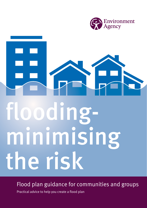

# floodingminimising the risk

Flood plan guidance for communities and groups

Practical advice to help you create a flood plan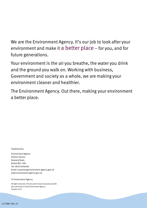We are the Environment Agency. It's our job to look after your environment and make it a better place – for you, and for future generations.

Your environment is the air you breathe, the water you drink and the ground you walk on. Working with business, Government and society as a whole, we are making your environment cleaner and healthier.

The Environment Agency. Out there, making your environment a better place.

Published by:

Environment Agency Horizon House, Deanery Road, Bristol BS1 5AH Tel: 0870 8506506 Email: enquiries@environment-agency.gov.uk www.environment-agency.gov.uk

© Environment Agency

All rights reserved. This document may be reproduced with prior permission of the Environment Agency. October 2012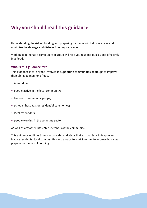# Why you should read this guidance

Understanding the risk of flooding and preparing for it now will help save lives and minimise the damage and distress flooding can cause.

Working together as a community or group will help you respond quickly and efficiently in a flood.

#### **Who is this guidance for?**

This guidance is for anyone involved in supporting communities or groups to improve their ability to plan for a flood.

This could be:

- people active in the local community;
- leaders of community groups;
- schools, hospitals or residential care homes;
- local responders;
- people working in the voluntary sector.

As well as any other interested members of the community.

This guidance outlines things to consider and steps that you can take to inspire and involve residents, local communities and groups to work together to improve how you prepare for the risk of flooding.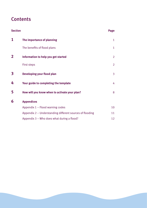# **Contents**

| <b>Section</b>          |                                                          | Page           |
|-------------------------|----------------------------------------------------------|----------------|
| 1                       | The importance of planning                               | 1              |
|                         | The benefits of flood plans                              | $\mathbf{1}$   |
| $\overline{\mathbf{2}}$ | Information to help you get started                      | $\overline{2}$ |
|                         | <b>First steps</b>                                       | $\overline{2}$ |
| 3                       | Developing your flood plan                               | 3              |
| 4                       | Your guide to completing the template                    | 4              |
| 5                       | How will you know when to activate your plan?            | 8              |
| 6                       | <b>Appendices</b>                                        |                |
|                         | Appendix 1 - Flood warning codes                         | 10             |
|                         | Appendix 2 – Understanding different sources of flooding | 11             |
|                         | Appendix 3 - Who does what during a flood?               | 12             |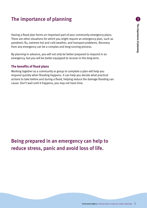# The importance of planning

Having a flood plan forms an important part of your community emergency plans. There are other situations for which you might require an emergency plan, such as pandemic flu, extreme hot and cold weather, and transport problems. Recovery from any emergency can be a complex and long-running process.

By planning in advance, you will not only be better prepared to respond in an emergency, but you will be better equipped to recover in the long-term.

#### **The benefits of flood plans**

Working together as a community or group to complete a plan will help you respond quickly when flooding happens. It can help you decide what practical actions to take before and during a flood, helping reduce the damage flooding can cause. Don't wait until it happens, you may not have time.

Being prepared in an emergency can help to reduce stress, panic and avoid loss of life.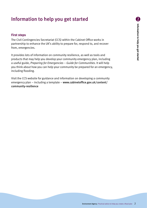# **Information to help you get started 2** Information to help you get started

# Information to help you get started

#### **First steps**

The Civil Contingencies Secretariat (CCS) within the Cabinet Office works in partnership to enhance the UK's ability to prepare for, respond to, and recover from, emergencies.

It provides lots of information on community resilience, as well as tools and products that may help you develop your community emergency plan, including a useful guide, *Preparing for Emergencies – Guide for Communities*. It will help you think about how you can help your community be prepared for an emergency, including flooding.

Visit the CCS website for guidance and information on developing a community [emergency plan – including a template –](www.cabinetoffice.gov.uk/content/community-resilience) www.cabinetoffice.gov.uk/content/ community-resilience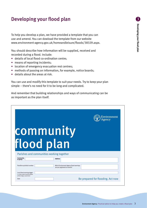# Developing your flood plan **3**

To help you develop a plan, we have provided a template that you can use and amend. You can dowload the template from our website www.environment-agency.gov.uk/homeandleisure/floods/38329.aspx.

You should describe how information will be supplied, received and recorded during a flood. Include:

- details of local flood co-ordination centre;
- means of reporting incidents;
- location of emergency evacuation rest centres;
- **•** methods of passing on information, for example, notice boards;
- details about the areas at risk.

You can use and modify this template to suit your needs. Try to keep your plan simple – there's no need for it to be long and complicated.

And remember that building relationships and ways of communicating can be as important as the plan itself. emergency evaluation rest centres; methods of passing of participation, for example,  $\frac{1}{2}$ 

|                                                                                             |                                                                           | Environment<br>Agency             |
|---------------------------------------------------------------------------------------------|---------------------------------------------------------------------------|-----------------------------------|
|                                                                                             | community                                                                 |                                   |
| flood plan                                                                                  |                                                                           |                                   |
| Parishes and communities working together                                                   |                                                                           |                                   |
| Community<br>or group                                                                       | <b>Address</b>                                                            |                                   |
| Floodline quickdial number                                                                  | Which Environment Agency flood warnings<br>are you registered to receive? |                                   |
| Local flood warning trigger<br>i.e. when water reaches bottom<br>of the bridge, sound siren |                                                                           |                                   |
| Date                                                                                        |                                                                           | Be prepared for flooding. Act now |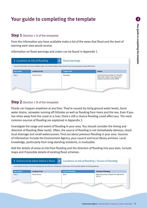# Your guide to completing the template

#### **Step 1** (Section 1 A of the template)

From the information you have available make a list of the areas that flood and the level of warning each area would receive.

Information on flood warnings and codes can be found in Appendix 1. From the information you have available make a list of areas liable to flood and the level of warning which information on fl

|                    | $\boldsymbol{A}$<br>1 Locations at risk of flooding | <b>Flood warnings</b>                                                                                                          |                                                                                                                     |
|--------------------|-----------------------------------------------------|--------------------------------------------------------------------------------------------------------------------------------|---------------------------------------------------------------------------------------------------------------------|
|                    |                                                     | From the information you have available make a list of areas liable to flood and the level of warning which would affect them. |                                                                                                                     |
| <b>Area number</b> | <b>Location at risk</b>                             | <b>Trigger level</b>                                                                                                           | <b>Actions</b>                                                                                                      |
| Area 1             | <b>Brook Terrace</b>                                | Flood Alert                                                                                                                    | Call the Environment Agency's Floodline<br>(0845 988 1188) for more information<br>using the quickdial number XXXXX |
|                    |                                                     |                                                                                                                                |                                                                                                                     |

#### **Step 2** (Section 1 B of the template)

**Step 3** (Section 2 A of the template )

Floods can happen anywhere at any time. They're caused by rising ground water levels, burst water drains, rainwater running off hillsides as well as flooding from rivers and the sea. Even if you common sources of flooding are explained in Appendix 2. live miles away from the coast or a river, there's still a chance flooding could affect you. The most

direction of flooding (flow route). Often, the source of flooding is not immediately obvious; check local drainage and small watercourses. Find out about previous flooding in your area. Sources of information include the Environment Agency, your council and local library archives. Local Investigate the range and extent of flooding in your area. You should consider the timing and knowledge, particularly from long-standing residents, is invaluable.

**Step 3** (Section 2 A of the template ) Add the details of areas at risk from flooding and the direction of flooding into your plan. Include maps and if possible details of existing flood schemes.

|             | 1 Actions to be taken before a flood                                                                                                    | B                         | Locations at risk of flooding / Source of flooding  |
|-------------|-----------------------------------------------------------------------------------------------------------------------------------------|---------------------------|-----------------------------------------------------|
|             | Insert details of areas at risk from flooding and the direction of flooding. Include maps and if possible details of existing defences. |                           |                                                     |
| Area number | <b>Location at risk</b>                                                                                                                 | <b>Source of flooding</b> | <b>Direction of flooding</b>                        |
| Area 1      | <b>Brook Terrace</b>                                                                                                                    | River                     | Water flows down footpath Via High Street<br>(B313) |
|             |                                                                                                                                         |                           |                                                     |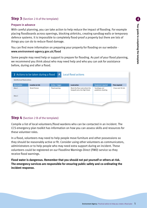# **Step 3** (Section 2 A of the template)

#### **Prepare in advance a flood before a flood**  $B$  **Locations at risk of flood**  $B$  **Locations at**  $\theta$  **is flood in flooding**  $B$  **Locations at**  $\theta$  **is flooding**  $B$  **and**  $B$  **is flooding**  $B$  **is flooding**  $B$  **and**  $B$  **is flooding**  $B$  **is**

With careful planning, you can take action to help reduce the impact of flooding. For example placing floodboards across openings, blocking airbricks, creating sandbag walls or temporary defence systems. It is impossible to completely flood-proof a property but there are lots of things you can do to reduce flood damage. **Area number Location at risk Direction of flooding Source of flooding**

You can find more information on preparing your property for flooding on our website www.environment-agency.gov.uk/flood

Some people may need help or support to prepare for flooding. As part of your flood planning, bone people may need neip or support to prepare for nooding. As part or your nood plar<br>we recommend you think about who may need help and who you can ask for assistance before, during and after a flood.

| $\mathbf{A}$<br>2 Actions to be taken during a flood<br>Local flood actions |                         |                  |                                                                  |                                    |                      |
|-----------------------------------------------------------------------------|-------------------------|------------------|------------------------------------------------------------------|------------------------------------|----------------------|
| Identify local flood actions                                                |                         |                  |                                                                  |                                    |                      |
| Area number                                                                 | <b>Location at risk</b> | Action / trigger | <b>Local action</b>                                              | <b>Equipment required</b>          | <b>Time required</b> |
| Area 1                                                                      | <b>Brook Terrace</b>    | Flood warning    | Block the flow route where the<br>footpath joins the High Street | Sandbags and<br>polythene sheeting | 1 hour and 30 min    |
| Area 2                                                                      |                         |                  |                                                                  |                                    |                      |
|                                                                             |                         |                  |                                                                  |                                    |                      |

#### **Step 4** (Section 2 B of the template)

Compile a list of local volunteers/flood wardens who can be contacted in an incident. The CCS emergency plan toolkit has information on how you can assess skills and resources for these volunteer roles.

In a flood, volunteers may need to help people move furniture and other possessions so they should be reasonably active or fit. Consider using other volunteers as communicators, administrators or to help people who may need extra support during an incident. These volunteers could be registered on our Floodline Warnings Direct (FWD) service so they receive flood warnings.

**Flood water is dangerous. Remember that you should not put yourself or others at risk. The emergency services are responsible for ensuring public safety and co-ordinating the incident response.**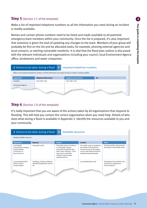#### **Step 5** (Section 2 C of the template) **Contacted wardens that could be contacted in an incident**. They may require Flood plans

Make a list of important telephone numbers so all the information you need during an incident is readily available. lift heavy sandbags so should be reasonably active or fit. Consider using other volunteers as communicators, These volume  $\alpha$  registers contained on the Environment Agency's Figure ,  $\alpha$  they are the  $\alpha$ 

Names and contact phone numbers need to be listed and made available to all potential emergency team members within your community. Once the list is prepared, it's also important that someone is given the task of updating any changes to the team. Members of your group will probably be first on the list and be allocated tasks, for example, phoning external agencies and probably be mot on the fist and be allocated tasks, for example, prishing external agencies and local contacts, or alerting vulnerable residents. It is vital that the flood plan outline is discussed with the relevant individuals and organisations including your council, local Environment Agency office, landowners and water companies. if hames and contact phone numbers heed to be listed and made available to all potential **Voluments, or attring value able to:** 

|                                                                                                                        | 2 Actions to be taken during a flood | $\mathsf{C}$ | Important telephone numbers     |     |
|------------------------------------------------------------------------------------------------------------------------|--------------------------------------|--------------|---------------------------------|-----|
| Make a list of important telephone numbers so all the information you require during an incident is readily available. |                                      |              |                                 |     |
| <b>Organisation</b>                                                                                                    | <b>Telephone (office hours)</b>      |              | <b>Telephone (out of hours)</b> | Fax |
| Floodline                                                                                                              | 0845 988 1188                        |              | 0845 988 1188                   |     |
| <b>Environment Agency</b>                                                                                              |                                      |              |                                 |     |
|                                                                                                                        |                                      |              |                                 |     |

### **Step 6** (Section 2 D of the template)

It's really important that you are aware of the actions taken by all organisations that respond to riboding. This will help you contact the correct organisation when you heed help. Details of who<br>does what during a flood is available in Appendix 3. Identify the resources available to you and your community. flooding. This will help you contact the correct organisation when you need help. Details of who

|                                                                                                            | 2 Actions to be taken during a flood                                  | D<br>Available resources                                                                                                                                                                          |                                                                                                                                                                      |                                                                                |
|------------------------------------------------------------------------------------------------------------|-----------------------------------------------------------------------|---------------------------------------------------------------------------------------------------------------------------------------------------------------------------------------------------|----------------------------------------------------------------------------------------------------------------------------------------------------------------------|--------------------------------------------------------------------------------|
| Identify available resources.                                                                              |                                                                       |                                                                                                                                                                                                   |                                                                                                                                                                      |                                                                                |
| <b>Organisation</b>                                                                                        | <b>Resource</b>                                                       | <b>Number</b>                                                                                                                                                                                     | <b>Location</b>                                                                                                                                                      | <b>Notes</b>                                                                   |
| Local Health<br>Centre/Doctors Surgery<br><b>Contact Details:</b><br>Dr Knott tel no:<br>Mrs Clark tel no: | Evacuation centre                                                     | The health centre can hold up<br>to 100 people. Anyone<br>evacuated should take with<br>them: warm clothing, a torch,<br>food, drink, medication,<br>children's toys and pets<br>requirements etc | The health centre is situated on<br>the outside of the flood risk<br>area and access to the surgery<br>can be made without driving or<br>walking through floodwater. | Dr Knott and Mrs Clark are both<br>key holders to the health centre            |
| Local storage facility?<br>District Council<br>Contact details:                                            | Sandbags, shovels, polythene<br>sheeting, floodboards, torches<br>etc |                                                                                                                                                                                                   | Local shopkeepers store                                                                                                                                              | Shopkeeper has provided a key<br>for access to equipment in<br>his/her absence |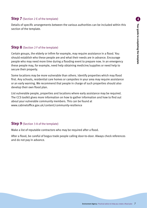#### **Step 7** (Section 2 E of the template)

Details of specific arrangements between the various authorities can be included within this section of the template.

#### **Step 8** (Section 2 F of the template)

Certain groups, the elderly or infirm for example, may require assistance in a flood. You should establish who these people are and what their needs are in advance. Encourage people who may need more time during a flooding event to prepare now. In an emergency these people may, for example, need help obtaining medicine/supplies or need help to secure their property.

Some locations may be more vulnerable than others. Identify properties which may flood first. Any schools, residential care homes or campsites in your area may require assistance or an early warning. We recommend that people in charge of such properties should also develop their own flood plan.

List vulnerable people, properties and locations where early assistance may be required. The CCS toolkit gives more information on how to gather information and how to find out about your vulnerable community members. This can be found at www.cabinetoffice.gov.uk/content/community-resilience

#### **Step 9** (Section 3 A of the template)

Make a list of reputable contractors who may be required after a flood.

After a flood, be careful of bogus trade people calling door-to-door. Always check references and do not pay in advance.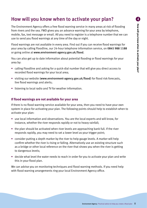# How will you know when to activate your plan?

The Environment Agency offers a free flood warning service in many areas at risk of flooding from rivers and the sea. FWD gives you an advance warning for your area by telephone, mobile, fax, text message or email. All you need to register is a telephone number that we can use to send you flood warnings at any time of the day or night.

Flood warnings are not available in every area. Find out if you can receive flood warnings for your area by calling Floodline, our 24-hour telephone information service, on 0845 988 1188 or going online at www.environment-agency.gov.uk/flood.

You can also get up to date information about potential flooding or flood warnings for your area by:

- calling Floodline and asking for a quick-dial number that will give you direct access to recorded flood warnings for your local area;
- visiting our website (www.environment-agency.gov.uk/flood) for flood risk forecasts, live flood warnings and alerts;
- listening to local radio and TV for weather information.

#### **If flood warnings are not available for your area**

If there is no flood warning service available for your area, then you need to have your own system in place for activating your plan. The following points should help to establish when to activate your plan:

- use local information and observations. You are the local experts and will know, for instance, whether the river responds rapidly or not to heavy rainfall;
- the plan should be activated when river levels are approaching bank full. If the river responds rapidly, you may need to set a lower level as your trigger point;
- consider putting a depth marker by the river to help gauge levels. A marker will help confirm whether the river is rising or falling. Alternatively use an existing structure such as a bridge or other local reference on the river that shows you when the river is getting to dangerous levels;
- decide what level the water needs to reach in order for you to activate your plan and write this in your flood plan.

We can advise you on monitoring techniques and flood warning methods. If you need help with flood warning arrangements ring your local Environment Agency office.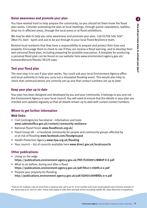#### **Raise awareness and promote your plan**

You have worked hard to help prepare the community, so you should let them know the flood plan exists. Consider promoting the plan at local meetings, through parish newsletters, leaflets, drop-ins in affected areas, through the local press or at flood exhibitions.

We may be able to help you raise awareness and promote your plan. Call 03708 506 506\* (Mon-Fri, 8am - 6pm) and ask to be put through to your local Flood Resilience team.

Remind local residents that they have a responsibility to prepare and protect their lives and property. Encourage them to check to see if they can receive a flood warning, and to develop their own personal flood plan, including preparing for possible evacuation. A template for producing [a personal flood plan can be found on our website here www.environment-agency.gov.uk/](http://www.environment-agency.gov.uk/homeandleisure/floods/38329.aspx) homeandleisure/floods/38329.aspx.

#### **Test your flood plan**

The next step is to see if your plan works. You could ask your local Environment Agency office and local authority to help you carry out a simulated flooding event. This would also help to check that communications are correctly set up and that contact numbers are up to date.

#### **Keep your plan up to date**

Your plan has been designed and developed by you and your community. It belongs to you and not the Environment Agency or your local council. You will need to ensure that the details in your plan are checked and updated regularly so that all details remain up to date with current contact numbers.

#### **Where to get further information**

#### **Web links:**

- Civil Contingencies Secretariat information and tools www.cabinetoffice.gov.uk/content/community-resilience
- National Flood Forum www.floodforum.org.uk/
- Flood Group UK a Facebook community for people and community groups affected by or at risk of flooding www.facebook.com/floodgroupuk
- Health Protection Agency www.hpa.org.uk/flooding
- Your council list of councils available here www.direct.gov.uk/localcouncils

#### **Other publications:**

- Living on the edge <https://publications.environment-agency.gov.uk/PDF/FLHO0912BWUP-E-E.pdf>
- What to do before, during and after a flood <https://publications.environment-agency.gov.uk/pdf/flho1110btfk-e-e.pdf>
- Prepare your property for flooding <http://publications.environment-agency.gov.uk/pdf/GEHO1009BRDL-e-e.pdf>

\*Calls to 03 numbers cost no more than a national rate call to an 01 or 02 number and must count towards any inclusive minutes in the same way as 01 and 02 calls. These rules apply to calls from any type of line including mobile, BT, other fixed line or payphone.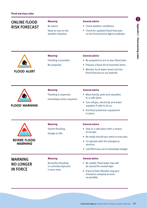#### Online flood RISK FORECAST

#### **Meaning**

Be aware.

Keep an eye on the weather situation.

#### **General advice**

- Check weather conditions.
- Check for updated flood forecasts on the Environment Agency website.



#### **Meaning**

Flooding is possible

Be prepared.

#### **General advice**

- Be prepared to act on your flood plan.
- Prepare a flood kit of essential items.
- Monitor local water levels and the flood forecast on our website.

| <b>FLOOD WARNING</b> |
|----------------------|

#### **Meaning** Flooding is expected. Immediate action required.

#### **General advice**

**General advice**

- Move family, pets and valuables to a safe place. • Turn off gas, electricity and water
- supplies if safe to do so.
- Put flood protection equipment in place.



#### Danger to life.

**SEVERE FLOOD WARNING** 

**Meaning** Severe flooding.

#### of escape. • Be ready should you need to evacuate.

• Stay in a safe place with a means

- Co-operate with the emergency services.
- Call 999 if you are in immediate danger.

#### **WARNING** no longer in force

#### **Meaning**

No further flooding is currently expected in your area.

#### **General advice**

- Be careful. Flood water may still be around for several days.
- If you've been flooded, ring your insurance company as soon as possible.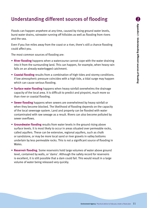## Understanding different sources of flooding **2**

Floods can happen anywhere at any time, caused by rising ground water levels, burst water drains, rainwater running off hillsides as well as flooding from rivers and the sea.

Even if you live miles away from the coast or a river, there's still a chance flooding could affect you.

The most common sources of flooding are:

- **River flooding** happens when a watercourse cannot cope with the water draining into it from the surrounding land. This can happen, for example, when heavy rain falls on an already waterlogged catchment.
- **Coastal flooding** results from a combination of high tides and stormy conditions. If low atmospheric pressure coincides with a high tide, a tidal surge may happen which can cause serious flooding.
- **Surface water flooding** happens when heavy rainfall overwhelms the drainage capacity of the local area. It is difficult to predict and pinpoint, much more so than river or coastal flooding.
- **Sewer flooding** happens when sewers are overwhelmed by heavy rainfall or when they become blocked. The likelihood of flooding depends on the capacity of the local sewerage system. Land and property can be flooded with water contaminated with raw sewage as a result. Rivers can also become polluted by sewer overflows.
- **Groundwater flooding** results from water levels in the ground rising above surface levels. It is most likely to occur in areas situated over permeable rocks, called aquifers. These can be extensive, regional aquifers, such as chalk or sandstone, or may be more local sand or river gravels in valley bottoms underlain by less permeable rocks. This is not a significant source of flooding in Wales.
- **Reservoir flooding.** Some reservoirs hold large volumes of water above ground level, contained by walls, or 'dams'. Although the safety record for reservoirs is excellent, it is still possible that a dam could fail. This would result in a large volume of water being released very quickly.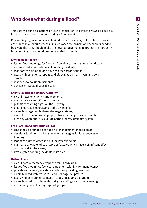# Who does what during a flood? **3**

This lists the principle actions of each organisation. It may not always be possible for all actions to be carried out during a flood event.

Responding organisations have limited resources so may not be able to provide assistance in all circumstances. In such cases the owners and occupiers need to be aware that they should make their own arrangements to protect their property from flooding. This should be clearly stated in the plan.

#### **Environment Agency**

- issues flood warnings for flooding from rivers, the sea and groundwater;
- receives and records details of flooding incidents;
- monitors the situation and advises other organisations;
- deals with emergency repairs and blockages on main rivers and own structures;
- responds to pollution incidents;
- advises on waste disposal issues.

#### **County Council and Unitary Authority**

- co-ordinates emergency arrangements;
- maintains safe conditions on the roads;
- puts flood warning signs on the highway;
- organises road closures and traffic diversions;
- clears blockages on highway drainage systems;
- may take action to protect property from flooding by water from the highway where there is a failure of the highway drainage system.

#### **Lead Local Flood Authorities (LLFA)**

- leads the co-ordination of flood risk management in their areas;
- develops local flood risk management strategies for local sources of flooding;
- manages surface water and groundwater flooding;
- maintains a register of structures or features which have a significant effect on flood risk in their area;
- investigates flooding incidents in its area.

#### **District Council**

- co-ordinates emergency response for its own area;
- issues flood warnings (by local agreement with Environment Agency);
- provides emergency assistance including providing sandbags;
- clears blocked watercourses (Land Drainage Act powers);
- deals with environmental health issues ,including pollution;
- clears blocked road channels and gully gratings and street cleaning;
- runs emergency planning support groups.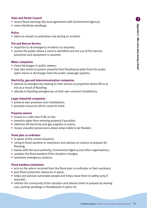#### **Town and Parish Council**

- issues flood warnings (by local agreement with Environment Agency);
- some distribute sandbags.

#### **Police**

• takes an overall co-ordination role during an incident.

#### **Fire and Rescue Service**

- responds to all emergency incidents as required;
- assists the public where a need is identified and the use of Fire Service personnel and equipment is required.

#### **Water companies**

- clears blockages in public sewers;
- may take action to protect property from flooding by water from the public water mains or discharges from the public sewerage systems.

#### **Electricity, gas and telecommunication companies**

- attends to emergencies relating to their service at properties where life is at risk as a result of flooding;
- attends to flooding emergencies at their own serviced installations.

#### **Large industrial companies**

- protects own premises and installations;
- provides resources which could be hired.

#### **Property owners**

- moves to a safe area if life at risk;
- prevents water from entering property if possible;
- switches off electricity and gas supplies at mains;
- moves valuable possessions above areas liable to be flooded.

#### **Flood plan co-ordinator**

- is aware of the current situation;
- contacts flood wardens or volunteers and advises on actions to prepare for flooding;
- liaises with the local authority, Environment Agency and other organisations;
- updates the flood wardens if the situation changes;
- maintains emergency contacts.

#### **Flood wardens/volunteers**

- acts on the advice received from the flood plan co-ordinator or their assistant;
- puts flood protection measures in place;
- helps and advises vulnerable people and helps move them to safety early if required;
- informs the community of the situation and advises them to prepare by moving cars, putting sandbags or floodboards in place etc.